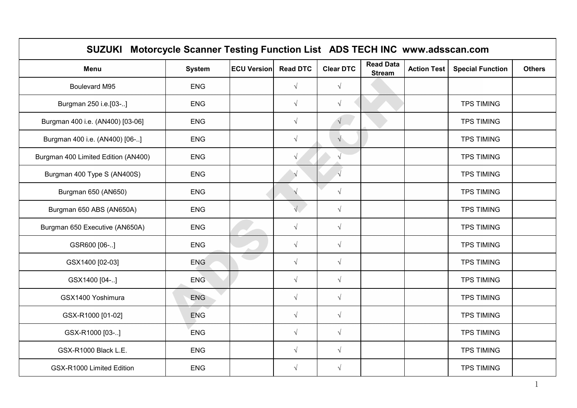|                                     | SUZUKI Motorcycle Scanner Testing Function List ADS TECH INC www.adsscan.com |                    |                 |                  |                                   |                    |                         |               |  |  |
|-------------------------------------|------------------------------------------------------------------------------|--------------------|-----------------|------------------|-----------------------------------|--------------------|-------------------------|---------------|--|--|
| <b>Menu</b>                         | <b>System</b>                                                                | <b>ECU Version</b> | <b>Read DTC</b> | <b>Clear DTC</b> | <b>Read Data</b><br><b>Stream</b> | <b>Action Test</b> | <b>Special Function</b> | <b>Others</b> |  |  |
| Boulevard M95                       | <b>ENG</b>                                                                   |                    | $\sqrt{ }$      | $\sqrt{ }$       |                                   |                    |                         |               |  |  |
| Burgman 250 i.e.[03-]               | <b>ENG</b>                                                                   |                    | $\sqrt{ }$      | $\sqrt{ }$       |                                   |                    | <b>TPS TIMING</b>       |               |  |  |
| Burgman 400 i.e. (AN400) [03-06]    | <b>ENG</b>                                                                   |                    | $\sqrt{ }$      |                  |                                   |                    | <b>TPS TIMING</b>       |               |  |  |
| Burgman 400 i.e. (AN400) [06-]      | ENG                                                                          |                    | $\sqrt{ }$      | $\sqrt{}$        |                                   |                    | <b>TPS TIMING</b>       |               |  |  |
| Burgman 400 Limited Edition (AN400) | ENG                                                                          |                    | $\sqrt{ }$      |                  |                                   |                    | <b>TPS TIMING</b>       |               |  |  |
| Burgman 400 Type S (AN400S)         | <b>ENG</b>                                                                   |                    | $\sqrt{ }$      | $\sqrt{ }$       |                                   |                    | <b>TPS TIMING</b>       |               |  |  |
| Burgman 650 (AN650)                 | <b>ENG</b>                                                                   |                    |                 | $\sqrt{}$        |                                   |                    | <b>TPS TIMING</b>       |               |  |  |
| Burgman 650 ABS (AN650A)            | <b>ENG</b>                                                                   |                    |                 | $\sqrt{}$        |                                   |                    | <b>TPS TIMING</b>       |               |  |  |
| Burgman 650 Executive (AN650A)      | <b>ENG</b>                                                                   |                    | $\sqrt{ }$      | $\sqrt{}$        |                                   |                    | <b>TPS TIMING</b>       |               |  |  |
| GSR600 [06-]                        | <b>ENG</b>                                                                   |                    | $\sqrt{ }$      | $\sqrt{}$        |                                   |                    | <b>TPS TIMING</b>       |               |  |  |
| GSX1400 [02-03]                     | <b>ENG</b>                                                                   |                    | $\sqrt{ }$      | $\sqrt{ }$       |                                   |                    | <b>TPS TIMING</b>       |               |  |  |
| GSX1400 [04-]                       | <b>ENG</b>                                                                   |                    | $\sqrt{ }$      | $\sqrt{}$        |                                   |                    | <b>TPS TIMING</b>       |               |  |  |
| GSX1400 Yoshimura                   | ENG                                                                          |                    | $\sqrt{ }$      | $\sqrt{ }$       |                                   |                    | <b>TPS TIMING</b>       |               |  |  |
| GSX-R1000 [01-02]                   | <b>ENG</b>                                                                   |                    | $\sqrt{ }$      | $\sqrt{ }$       |                                   |                    | <b>TPS TIMING</b>       |               |  |  |
| GSX-R1000 [03-]                     | ENG                                                                          |                    | $\sqrt{ }$      | $\sqrt{ }$       |                                   |                    | <b>TPS TIMING</b>       |               |  |  |
| GSX-R1000 Black L.E.                | <b>ENG</b>                                                                   |                    | $\sqrt{ }$      | $\sqrt{}$        |                                   |                    | <b>TPS TIMING</b>       |               |  |  |
| GSX-R1000 Limited Edition           | <b>ENG</b>                                                                   |                    | $\sqrt{ }$      | $\sqrt{ }$       |                                   |                    | <b>TPS TIMING</b>       |               |  |  |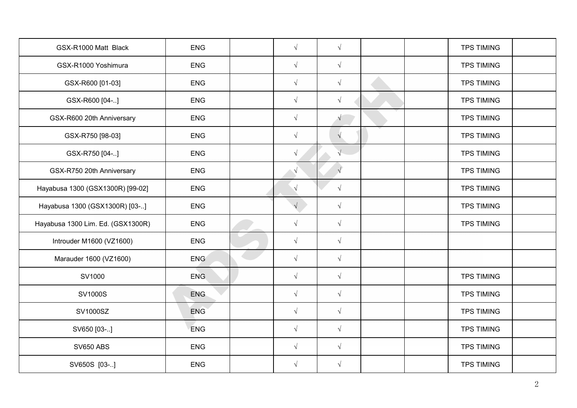| GSX-R1000 Matt Black              | <b>ENG</b> | $\sqrt{ }$ | $\sqrt{ }$ |  | <b>TPS TIMING</b> |  |
|-----------------------------------|------------|------------|------------|--|-------------------|--|
| GSX-R1000 Yoshimura               | <b>ENG</b> | $\sqrt{ }$ | $\sqrt{ }$ |  | <b>TPS TIMING</b> |  |
| GSX-R600 [01-03]                  | <b>ENG</b> | $\sqrt{ }$ | $\sqrt{ }$ |  | <b>TPS TIMING</b> |  |
| GSX-R600 [04-]                    | <b>ENG</b> | $\sqrt{ }$ | $\sqrt{ }$ |  | <b>TPS TIMING</b> |  |
| GSX-R600 20th Anniversary         | <b>ENG</b> | $\sqrt{ }$ | $\sqrt{2}$ |  | <b>TPS TIMING</b> |  |
| GSX-R750 [98-03]                  | <b>ENG</b> | $\sqrt{ }$ | $\sqrt{ }$ |  | <b>TPS TIMING</b> |  |
| GSX-R750 [04-]                    | <b>ENG</b> | $\sqrt{ }$ | $\sqrt{}$  |  | <b>TPS TIMING</b> |  |
| GSX-R750 20th Anniversary         | <b>ENG</b> | $\sqrt{ }$ | $\sqrt{ }$ |  | <b>TPS TIMING</b> |  |
| Hayabusa 1300 (GSX1300R) [99-02]  | <b>ENG</b> | $\sqrt{ }$ | $\sqrt{ }$ |  | <b>TPS TIMING</b> |  |
| Hayabusa 1300 (GSX1300R) [03-]    | <b>ENG</b> |            | $\sqrt{ }$ |  | <b>TPS TIMING</b> |  |
| Hayabusa 1300 Lim. Ed. (GSX1300R) | ENG        | $\sqrt{ }$ | $\sqrt{ }$ |  | <b>TPS TIMING</b> |  |
| Introuder M1600 (VZ1600)          | <b>ENG</b> | $\sqrt{ }$ | $\sqrt{ }$ |  |                   |  |
| Marauder 1600 (VZ1600)            | <b>ENG</b> | $\sqrt{ }$ | $\sqrt{ }$ |  |                   |  |
| SV1000                            | <b>ENG</b> | $\sqrt{ }$ | $\sqrt{ }$ |  | <b>TPS TIMING</b> |  |
| SV1000S                           | <b>ENG</b> | $\sqrt{ }$ | $\sqrt{ }$ |  | <b>TPS TIMING</b> |  |
| SV1000SZ                          | <b>ENG</b> | $\sqrt{ }$ | $\sqrt{ }$ |  | <b>TPS TIMING</b> |  |
| SV650 [03-]                       | <b>ENG</b> | $\sqrt{ }$ | $\sqrt{ }$ |  | <b>TPS TIMING</b> |  |
| <b>SV650 ABS</b>                  | <b>ENG</b> | $\sqrt{ }$ | $\sqrt{ }$ |  | <b>TPS TIMING</b> |  |
| SV650S [03-]                      | <b>ENG</b> | $\sqrt{ }$ | $\sqrt{ }$ |  | <b>TPS TIMING</b> |  |
|                                   |            |            |            |  |                   |  |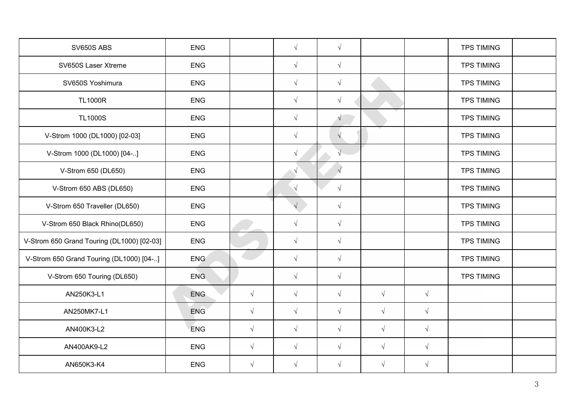| SV650S ABS                                 | <b>ENG</b> |            | $\sqrt{ }$ | $\sqrt{ }$ |            |            | <b>TPS TIMING</b> |  |
|--------------------------------------------|------------|------------|------------|------------|------------|------------|-------------------|--|
| SV650S Laser Xtreme                        | ENG        |            | $\sqrt{ }$ | $\sqrt{ }$ |            |            | <b>TPS TIMING</b> |  |
| SV650S Yoshimura                           | <b>ENG</b> |            | $\sqrt{ }$ | $\sqrt{ }$ |            |            | <b>TPS TIMING</b> |  |
| <b>TL1000R</b>                             | <b>ENG</b> |            | $\sqrt{ }$ | $\sqrt{ }$ |            |            | <b>TPS TIMING</b> |  |
| <b>TL1000S</b>                             | <b>ENG</b> |            | $\sqrt{ }$ | $\sqrt{2}$ |            |            | <b>TPS TIMING</b> |  |
| V-Strom 1000 (DL1000) [02-03]              | <b>ENG</b> |            | $\sqrt{ }$ | $\sqrt{ }$ |            |            | <b>TPS TIMING</b> |  |
| V-Strom 1000 (DL1000) [04-]                | <b>ENG</b> |            | $\sqrt{ }$ | $\sqrt{}$  |            |            | <b>TPS TIMING</b> |  |
| V-Strom 650 (DL650)                        | <b>ENG</b> |            | ึง         | $\sqrt{ }$ |            |            | <b>TPS TIMING</b> |  |
| V-Strom 650 ABS (DL650)                    | <b>ENG</b> |            | $\sqrt{ }$ | $\sqrt{ }$ |            |            | <b>TPS TIMING</b> |  |
| V-Strom 650 Traveller (DL650)              | <b>ENG</b> |            |            | $\sqrt{ }$ |            |            | <b>TPS TIMING</b> |  |
| V-Strom 650 Black Rhino(DL650)             | <b>ENG</b> |            | $\sqrt{ }$ | $\sqrt{}$  |            |            | <b>TPS TIMING</b> |  |
| V-Strom 650 Grand Touring (DL1000) [02-03] | <b>ENG</b> |            | $\sqrt{ }$ | $\sqrt{}$  |            |            | <b>TPS TIMING</b> |  |
| V-Strom 650 Grand Touring (DL1000) [04-]   | <b>ENG</b> |            | $\sqrt{ }$ | $\sqrt{ }$ |            |            | <b>TPS TIMING</b> |  |
| V-Strom 650 Touring (DL650)                | <b>ENG</b> |            | $\sqrt{ }$ | $\sqrt{}$  |            |            | <b>TPS TIMING</b> |  |
| AN250K3-L1                                 | <b>ENG</b> | $\sqrt{ }$ | $\sqrt{ }$ | $\sqrt{ }$ | $\sqrt{}$  | $\sqrt{ }$ |                   |  |
| AN250MK7-L1                                | <b>ENG</b> | $\sqrt{ }$ | $\sqrt{ }$ | $\sqrt{ }$ | $\sqrt{ }$ | $\sqrt{ }$ |                   |  |
| AN400K3-L2                                 | <b>ENG</b> | $\sqrt{ }$ | $\sqrt{ }$ | $\sqrt{ }$ | $\sqrt{ }$ | $\sqrt{ }$ |                   |  |
| AN400AK9-L2                                | ENG        | $\sqrt{ }$ | $\sqrt{ }$ | $\sqrt{ }$ | $\sqrt{ }$ | $\sqrt{ }$ |                   |  |
| AN650K3-K4                                 | <b>ENG</b> | $\sqrt{ }$ | $\sqrt{ }$ | $\sqrt{}$  | $\sqrt{ }$ | $\sqrt{ }$ |                   |  |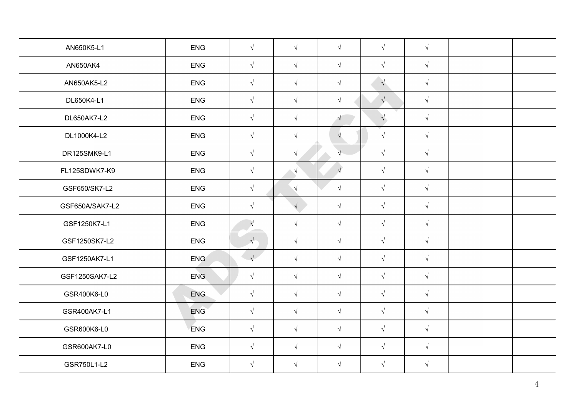| AN650K5-L1      | <b>ENG</b> | $\sqrt{ }$ | $\sqrt{ }$ | $\sqrt{ }$ | $\sqrt{ }$ | $\sqrt{ }$ |  |
|-----------------|------------|------------|------------|------------|------------|------------|--|
| AN650AK4        | <b>ENG</b> | $\sqrt{ }$ | $\sqrt{ }$ | $\sqrt{ }$ | $\sqrt{ }$ | $\sqrt{ }$ |  |
| AN650AK5-L2     | ENG        | $\sqrt{ }$ | $\sqrt{ }$ | $\sqrt{ }$ | $\sqrt{}$  | $\sqrt{ }$ |  |
| DL650K4-L1      | <b>ENG</b> | $\sqrt{ }$ | $\sqrt{ }$ | $\sqrt{ }$ | $\sqrt{}$  | $\sqrt{ }$ |  |
| DL650AK7-L2     | ENG        | $\sqrt{ }$ | $\sqrt{ }$ | $\sqrt{}$  | $\sqrt{}$  | $\sqrt{ }$ |  |
| DL1000K4-L2     | <b>ENG</b> | $\sqrt{ }$ | $\sqrt{ }$ | $\sqrt{ }$ | $\sqrt{ }$ | $\sqrt{ }$ |  |
| DR125SMK9-L1    | <b>ENG</b> | $\sqrt{ }$ | $\sqrt{ }$ | $\sqrt{}$  | $\sqrt{ }$ | $\sqrt{ }$ |  |
| FL125SDWK7-K9   | <b>ENG</b> | $\sqrt{ }$ | $\sqrt{ }$ | $\sqrt{ }$ | $\sqrt{ }$ | $\sqrt{ }$ |  |
| GSF650/SK7-L2   | <b>ENG</b> | $\sqrt{ }$ | $\sqrt{ }$ | $\sqrt{ }$ | $\sqrt{ }$ | $\sqrt{ }$ |  |
| GSF650A/SAK7-L2 | <b>ENG</b> | $\sqrt{ }$ | $\sqrt{ }$ | $\sqrt{ }$ | $\sqrt{ }$ | $\sqrt{ }$ |  |
| GSF1250K7-L1    | <b>ENG</b> | $\sqrt{ }$ | $\sqrt{ }$ | $\sqrt{ }$ | $\sqrt{ }$ | $\sqrt{ }$ |  |
| GSF1250SK7-L2   | <b>ENG</b> | $\sqrt{}$  | $\sqrt{ }$ | $\sqrt{ }$ | $\sqrt{ }$ | $\sqrt{ }$ |  |
| GSF1250AK7-L1   | <b>ENG</b> | $\sqrt{ }$ | $\sqrt{ }$ | $\sqrt{ }$ | $\sqrt{ }$ | $\sqrt{ }$ |  |
| GSF1250SAK7-L2  | <b>ENG</b> | $\sqrt{ }$ | $\sqrt{ }$ | $\sqrt{ }$ | $\sqrt{ }$ | $\sqrt{ }$ |  |
| GSR400K6-L0     | ENG        | $\sqrt{ }$ | $\sqrt{ }$ | $\sqrt{ }$ | $\sqrt{ }$ | $\sqrt{}$  |  |
| GSR400AK7-L1    | <b>ENG</b> | $\sqrt{ }$ | $\sqrt{ }$ | $\sqrt{ }$ | $\sqrt{ }$ | $\sqrt{}$  |  |
| GSR600K6-L0     | <b>ENG</b> | $\sqrt{ }$ | $\sqrt{ }$ | $\sqrt{ }$ | $\sqrt{ }$ | $\sqrt{}$  |  |
| GSR600AK7-L0    | <b>ENG</b> | $\sqrt{ }$ | $\sqrt{ }$ | $\sqrt{ }$ | $\sqrt{ }$ | $\sqrt{ }$ |  |
| GSR750L1-L2     | <b>ENG</b> | $\sqrt{ }$ | $\sqrt{ }$ | $\sqrt{ }$ | $\sqrt{ }$ | $\sqrt{ }$ |  |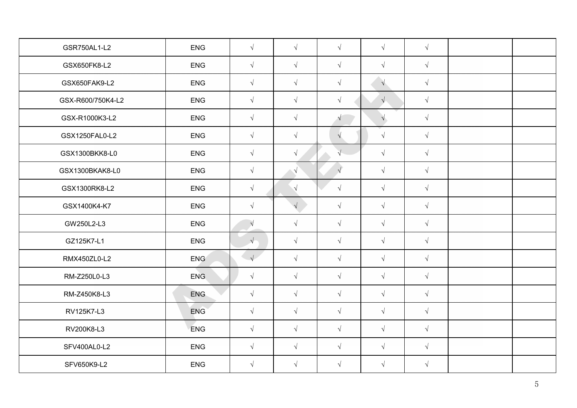| GSR750AL1-L2      | <b>ENG</b>       | $\sqrt{ }$ | $\sqrt{ }$ | $\sqrt{ }$           | $\sqrt{ }$ | $\sqrt{ }$ |  |
|-------------------|------------------|------------|------------|----------------------|------------|------------|--|
| GSX650FK8-L2      | <b>ENG</b>       | $\sqrt{ }$ | $\sqrt{ }$ | $\sqrt{ }$           | $\sqrt{ }$ | $\sqrt{ }$ |  |
| GSX650FAK9-L2     | <b>ENG</b>       | $\sqrt{ }$ | $\sqrt{ }$ | $\sqrt{ }$           | $\sqrt{}$  | $\sqrt{ }$ |  |
| GSX-R600/750K4-L2 | <b>ENG</b>       | $\sqrt{ }$ | $\sqrt{ }$ | $\sqrt{ }$           | $\sqrt{}$  | $\sqrt{ }$ |  |
| GSX-R1000K3-L2    | ENG              | $\sqrt{ }$ | $\sqrt{ }$ | $\sqrt{}$            | $\sqrt{ }$ | $\sqrt{ }$ |  |
| GSX1250FAL0-L2    | ENG              | $\sqrt{ }$ | $\sqrt{ }$ | $\sqrt{ }$           | $\sqrt{ }$ | $\sqrt{ }$ |  |
| GSX1300BKK8-L0    | <b>ENG</b>       | $\sqrt{ }$ | $\sqrt{ }$ | $\sqrt{\phantom{a}}$ | $\sqrt{ }$ | $\sqrt{ }$ |  |
| GSX1300BKAK8-L0   | <b>ENG</b>       | $\sqrt{ }$ | $\sqrt{ }$ | $\sqrt{ }$           | $\sqrt{ }$ | $\sqrt{ }$ |  |
| GSX1300RK8-L2     | <b>ENG</b>       | $\sqrt{ }$ | $\sqrt{ }$ | $\sqrt{}$            | $\sqrt{ }$ | $\sqrt{ }$ |  |
| GSX1400K4-K7      | <b>ENG</b>       | $\sqrt{ }$ | $\sqrt{2}$ | $\sqrt{ }$           | $\sqrt{ }$ | $\sqrt{ }$ |  |
| GW250L2-L3        | <b>ENG</b>       | $\sqrt{ }$ | $\sqrt{ }$ | $\sqrt{ }$           | $\sqrt{ }$ | $\sqrt{ }$ |  |
| GZ125K7-L1        | <b>ENG</b>       | $\sqrt{}$  | $\sqrt{ }$ | $\sqrt{ }$           | $\sqrt{ }$ | $\sqrt{ }$ |  |
| RMX450ZL0-L2      | ENG <sup>®</sup> | $\sqrt{}$  | $\sqrt{ }$ | $\sqrt{ }$           | $\sqrt{ }$ | $\sqrt{ }$ |  |
| RM-Z250L0-L3      | <b>ENG</b>       | $\sqrt{ }$ | $\sqrt{ }$ | $\sqrt{ }$           | $\sqrt{ }$ | $\sqrt{ }$ |  |
| RM-Z450K8-L3      | <b>ENG</b>       | $\sqrt{ }$ | $\sqrt{ }$ | $\sqrt{ }$           | $\sqrt{ }$ | $\sqrt{ }$ |  |
| RV125K7-L3        | <b>ENG</b>       | $\sqrt{ }$ | $\sqrt{ }$ | $\sqrt{ }$           | $\sqrt{ }$ | $\sqrt{ }$ |  |
| RV200K8-L3        | <b>ENG</b>       | $\sqrt{ }$ | $\sqrt{ }$ | $\sqrt{ }$           | $\sqrt{ }$ | $\sqrt{ }$ |  |
| SFV400AL0-L2      | <b>ENG</b>       | $\sqrt{ }$ | $\sqrt{ }$ | $\sqrt{ }$           | $\sqrt{ }$ | $\sqrt{ }$ |  |
| SFV650K9-L2       | <b>ENG</b>       | $\sqrt{ }$ | $\sqrt{ }$ | $\sqrt{ }$           | $\sqrt{ }$ | $\sqrt{ }$ |  |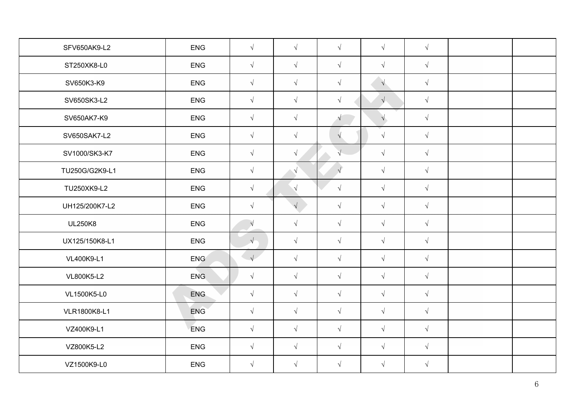| SFV650AK9-L2   | <b>ENG</b>       | $\sqrt{ }$ | $\sqrt{ }$ | $\sqrt{ }$ | $\sqrt{ }$ | $\sqrt{ }$ |  |
|----------------|------------------|------------|------------|------------|------------|------------|--|
| ST250XK8-L0    | <b>ENG</b>       | $\sqrt{ }$ | $\sqrt{ }$ | $\sqrt{ }$ | $\sqrt{ }$ | $\sqrt{ }$ |  |
| SV650K3-K9     | <b>ENG</b>       | $\sqrt{ }$ | $\sqrt{ }$ | $\sqrt{ }$ | $\sqrt{}$  | $\sqrt{ }$ |  |
| SV650SK3-L2    | <b>ENG</b>       | $\sqrt{ }$ | $\sqrt{ }$ | $\sqrt{ }$ | $\sqrt{}$  | $\sqrt{ }$ |  |
| SV650AK7-K9    | ENG              | $\sqrt{ }$ | $\sqrt{ }$ | $\sqrt{}$  | $\sqrt{ }$ | $\sqrt{}$  |  |
| SV650SAK7-L2   | ENG              | $\sqrt{ }$ | $\sqrt{ }$ | $\sqrt{ }$ | $\sqrt{ }$ | $\sqrt{ }$ |  |
| SV1000/SK3-K7  | <b>ENG</b>       | $\sqrt{ }$ | $\sqrt{ }$ | $\sqrt{}$  | $\sqrt{ }$ | $\sqrt{ }$ |  |
| TU250G/G2K9-L1 | <b>ENG</b>       | $\sqrt{ }$ | $\sqrt{ }$ | $\sqrt{ }$ | $\sqrt{ }$ | $\sqrt{ }$ |  |
| TU250XK9-L2    | <b>ENG</b>       | $\sqrt{ }$ | $\sqrt{ }$ | $\sqrt{}$  | $\sqrt{ }$ | $\sqrt{ }$ |  |
| UH125/200K7-L2 | <b>ENG</b>       | $\sqrt{ }$ | $\sqrt{2}$ | $\sqrt{}$  | $\sqrt{ }$ | $\sqrt{ }$ |  |
| <b>UL250K8</b> | <b>ENG</b>       | $\sqrt{ }$ | $\sqrt{ }$ | $\sqrt{ }$ | $\sqrt{ }$ | $\sqrt{ }$ |  |
| UX125/150K8-L1 | <b>ENG</b>       | $\sqrt{ }$ | $\sqrt{ }$ | $\sqrt{ }$ | $\sqrt{ }$ | $\sqrt{ }$ |  |
| VL400K9-L1     | ENG <sup>®</sup> | $\sqrt{}$  | $\sqrt{ }$ | $\sqrt{ }$ | $\sqrt{ }$ | $\sqrt{ }$ |  |
| VL800K5-L2     | <b>ENG</b>       | $\sqrt{ }$ | $\sqrt{ }$ | $\sqrt{ }$ | $\sqrt{ }$ | $\sqrt{ }$ |  |
| VL1500K5-L0    | <b>ENG</b>       | $\sqrt{ }$ | $\sqrt{ }$ | $\sqrt{ }$ | $\sqrt{ }$ | $\sqrt{ }$ |  |
| VLR1800K8-L1   | <b>ENG</b>       | $\sqrt{ }$ | $\sqrt{ }$ | $\sqrt{ }$ | $\sqrt{ }$ | $\sqrt{ }$ |  |
| VZ400K9-L1     | <b>ENG</b>       | $\sqrt{ }$ | $\sqrt{ }$ | $\sqrt{ }$ | $\sqrt{ }$ | $\sqrt{}$  |  |
| VZ800K5-L2     | <b>ENG</b>       | $\sqrt{ }$ | $\sqrt{ }$ | $\sqrt{ }$ | $\sqrt{ }$ | $\sqrt{ }$ |  |
| VZ1500K9-L0    | <b>ENG</b>       | $\sqrt{ }$ | $\sqrt{ }$ | $\sqrt{ }$ | $\sqrt{ }$ | $\sqrt{ }$ |  |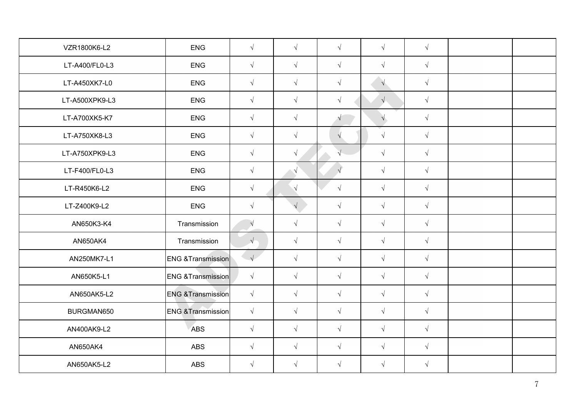| VZR1800K6-L2   | <b>ENG</b>                    | $\sqrt{ }$ | $\sqrt{ }$ | $\sqrt{ }$ | $\sqrt{ }$ | $\sqrt{ }$ |  |
|----------------|-------------------------------|------------|------------|------------|------------|------------|--|
| LT-A400/FL0-L3 | ENG                           | $\sqrt{ }$ | $\sqrt{ }$ | $\sqrt{ }$ | $\sqrt{ }$ | $\sqrt{ }$ |  |
| LT-A450XK7-L0  | <b>ENG</b>                    | $\sqrt{ }$ | $\sqrt{ }$ | $\sqrt{ }$ | $\sqrt{}$  | $\sqrt{}$  |  |
| LT-A500XPK9-L3 | ENG                           | $\sqrt{ }$ | $\sqrt{ }$ | $\sqrt{ }$ | $\sqrt{}$  | $\sqrt{ }$ |  |
| LT-A700XK5-K7  | <b>ENG</b>                    | $\sqrt{ }$ | $\sqrt{ }$ | $\sqrt{}$  | $\sqrt{}$  | $\sqrt{ }$ |  |
| LT-A750XK8-L3  | <b>ENG</b>                    | $\sqrt{ }$ | $\sqrt{ }$ | $\sqrt{ }$ | $\sqrt{ }$ | $\sqrt{ }$ |  |
| LT-A750XPK9-L3 | <b>ENG</b>                    | $\sqrt{ }$ | $\sqrt{ }$ | $\sqrt{}$  | $\sqrt{ }$ | $\sqrt{ }$ |  |
| LT-F400/FL0-L3 | <b>ENG</b>                    | $\sqrt{ }$ | $\sqrt{ }$ | $\sqrt{ }$ | $\sqrt{ }$ | $\sqrt{ }$ |  |
| LT-R450K6-L2   | <b>ENG</b>                    | $\sqrt{ }$ | $\sqrt{ }$ | $\sqrt{}$  | $\sqrt{ }$ | $\sqrt{ }$ |  |
| LT-Z400K9-L2   | <b>ENG</b>                    | $\sqrt{ }$ |            | $\sqrt{ }$ | $\sqrt{ }$ | $\sqrt{ }$ |  |
| AN650K3-K4     | Transmission                  | $\sqrt{ }$ | $\sqrt{ }$ | $\sqrt{}$  | $\sqrt{ }$ | $\sqrt{ }$ |  |
| AN650AK4       | Transmission                  | $\sqrt{ }$ | $\sqrt{ }$ | $\sqrt{ }$ | $\sqrt{ }$ | $\sqrt{ }$ |  |
| AN250MK7-L1    | <b>ENG &amp;Transmission</b>  | $\sqrt{}$  | $\sqrt{ }$ | $\sqrt{ }$ | $\sqrt{ }$ | $\sqrt{ }$ |  |
| AN650K5-L1     | <b>ENG &amp; Transmission</b> | $\sqrt{ }$ | $\sqrt{ }$ | $\sqrt{ }$ | $\sqrt{ }$ | $\sqrt{ }$ |  |
| AN650AK5-L2    | <b>ENG &amp;Transmission</b>  | $\sqrt{ }$ | $\sqrt{ }$ | $\sqrt{ }$ | $\sqrt{ }$ | $\sqrt{ }$ |  |
| BURGMAN650     | <b>ENG &amp;Transmission</b>  | $\sqrt{ }$ | $\sqrt{ }$ | $\sqrt{ }$ | $\sqrt{ }$ | $\sqrt{ }$ |  |
| AN400AK9-L2    | <b>ABS</b>                    | $\sqrt{ }$ | $\sqrt{ }$ | $\sqrt{ }$ | $\sqrt{ }$ | $\sqrt{ }$ |  |
| AN650AK4       | <b>ABS</b>                    | $\sqrt{ }$ | $\sqrt{ }$ | $\sqrt{ }$ | $\sqrt{ }$ | $\sqrt{ }$ |  |
| AN650AK5-L2    | <b>ABS</b>                    | $\sqrt{ }$ | $\sqrt{ }$ | $\sqrt{ }$ | $\sqrt{ }$ | $\sqrt{ }$ |  |